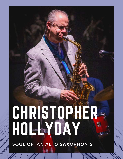# CHRISTOPHER HOLLYDAY

SOUL OF AN ALTO SAXOPHONIST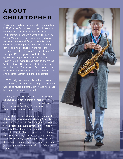## **ABOUT CHRISTOPHER**

Christopher Hollyday began performing publicly in 1983 in the Boston area at age thirteen as a member of his brother Richard's quintet. In 1988 Hollyday headlined a week at the historic Village Vanguard in New York City. Hollyday toured with Maynard Ferguson as a featured soloist in the trumpeter's "60th Birthday Big Band", and was featured on the Maynard Ferguson "Big Bop Nouveau" album. From 1989 through 1993, Hollyday toured with his own quartet visiting every Western European country, Brazil, Canada, and most of the United States. During this period Hollyday made four recordings for RCA records. As Hollyday toured he visited local schools as an effective clinician and became interested in music education.

In 1993 Hollyday pursued his desire to teach and study composition and arranging at Berklee College of Music in Boston, MA. It was here that he began studying the clarinet.

In 1996, Hollyday relocated to San Diego where he taught high school instrumental music for 13 years. Hollyday completed a masters degree in jazz studies at San Diego State University where began studying flute.

He now teaches saxophone at San Diego State University and woodwinds privately from his studio in San Diego. In 2018 Hollyday returned to the recording studio to record his critically acclaimed comeback album Telepathy. He recently recorded Dialogue-a follow-up album with The Telepathy Quintet, releasing in August 2019. Mr. Hollyday currently performs in San Diego and throughout Southern California, as a jazz saxophone soloist, and with his Telepathy Quintet.

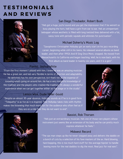## **TESTIMONIALS AND REVIEWS**



#### San Diego Troubador, Robert Bush

"He's got a huge, joyful sound and you get the impression that if he werent so busy playing the horn, hed have a grin from ear to ear. Hes an unrepentant bebopper whose aesthetic is filled with long twisted lines delivered with a fat, sassy tone with periodic squeals and whinnies for punctuation".

### Michael Doherty's Music Log

"Saxophonist Christopher Hollyday got an early start on his jazz recording career, beginning while still in his teens. He released several albums as band leader, and then after 1992's And III Sing Once More, stopped. He moved from Massachusetts to California and began teaching. Well, he is now back, with his first album as band leader in twenty-six years, and it is a gem".

#### Pianist, Joshua White

"From the first moment I played with him, I knew he was an amazing musician. He has a great ear, and he's very flexible in terms of direction and adaptability. He definitely has his own perspective, but that's not at the expense of knowing what's going on around him. He has a very insightful knowledge of the tradition and the players who created the tradition. Its always a wonderful experience when we can get together either on the stage or in the studio".

#### Lemon Wire, Dodie Miller-Gould

"Despite an almost 30-year absence, Hollyday sounds as if he is in good form. "Telepathy" is as fun as it is inspired. That Hollyday takes risks with rhythm makes the listeneing that much more fun for the audience who often feel as if they are on a ride that they do not want to end".





#### Bassist, Rob Thorsen

"He's just an extraordinary musician. He's one of those rare players whose instrument just seems like an extension of his body and he can pretty much express whatever he feels.".

#### Midwest Record

"The sax man steps up like he never stepped away and delivers the daddio on a bunch of cuts by a selection of his fave masters of the ax. Hard blowing, hard bopping, this is too much hard stuff for the average hipster to handle leaving more for the real daddios to dig the most. Real jazz for real ears".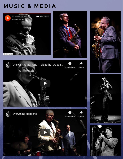## **MUSIC & MEDIA**





Share









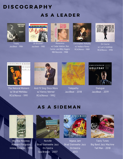## **DISCOGRAPHY** AS A LEADER



**Treaty** JazzBeat - 1984



Oh Brother! Jazzbeat - 1985



Reverence w/ Cedar Walton, Ron Carter, and Billy Higgins RBI Records - 1988



Christopher Hollyday w/ Wallace Roney RCA/Novus - 1989



On Course w/ Larry Goldings RCA/Novus - 1990



The Natural Moment w/ Brad Mehldau RCA/Novus - 1991



And I'll Sing Once More w/ Kenny Werner RCA/Novus - 1992



**Telepathy** JazzBeat - 2018



**Dialogue** JazzBeat - 2019

## AS A SIDEMAN



Big Bop Nouveau Maynard Ferguson Intima Records - 1990



Nutville Brad Steinwehe Jazz Orchestra Sea Breeze - 2007



Wgasa Jam Brad Steinwehe Jazz Orchestra 2013



Tasty Tunes Big Band Jazz Machine Tall Man - 2018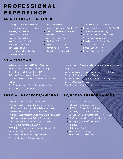## **P R O F E S S I O N A L EXPEREINCE**

## AS A LEADER/HEADLINER

- Opening Act for Harry Connick Jr. 3 week tour across Eastern US
- **Monterey Jazz Festival**
- Montreal Jazz Festival
- Montreux Jazz Festival
- Nice France Jazz Festival
- Stuttgart Jazz Festival
- Berlin Jazz Festival
- Queen Elizabeth Hall London
- **Boston Globe Jazz Festival**

### AS A SIDEMAN

- McDonald's All American HS Jazz Ensemble
- Jacksonville Jazz Festival w/ Maynard Ferguson
- Jimmy Cobb's Mob Birdland Jazz NYC
- JVC Jazz Festival NYC w/ Dizzy Gillespie
- Savannah Jazz Festival w/ Jimmy Smith and Carmen McRae
- San Diego Symphony Orchestra w/ Dianne Shure
- Society Beat Jazz Orchestra

## SPECIAL PROJECTS/AWARDS

- 1983 NAJE Young Talent Award Winner
- 1990 Downbeat Magazine Critics Poll Nominee
- 1990 Winner Boston Music Awards Best Jazz Artist
- 1991 Downbeat Magazine Critics Poll Nominee
- 1991 Downbeat Magazine Cover Article with Phil Woods
- 1992 Downbeat Magazine Critics Poll Nominee
- 1993 Downbeat Magazine Critics Poll Nominee
- 1997 to 2013 Member of SCSBOA
- 2018 Telepathy nominated by the San Diego Music Awards for "Best Jazz Album"
- 2018 Cover Article in San Diego Troubadour
- 2019 Outstanding SDSU Alumni Award
- Detroit Jazz Festival
- Newport Jazz Festival Saratoga, NY
- Free Jazz Festival Rio DeJaneiro
- Hollywood FL Jazz Festival
- Village Vanguard NYC
- Blue Note NYC
- Ronnie Scotts London
- Regatta Bar Boston, MA
- Blues Alley Washington DC
- Top O'The Senator Toronto, Canada
- Dakota Bar Grill Minneapolis/St. Paul, MN
- The Jazz Showcase Chicago, IL
- Catalina Bar and Grill Los Angeles, CA
- Yoshi's San Francisco, CA
- Kuumba Jazz Santa Cruz CA
- Jazz Alley Seattle, WA
- Elarios San Diego, CA
- Dizzy's San Diego, CA
- . "Stratospheric" Ensemble celebrating the career of Maynard Ferguson
- · San Diego Bayside Sumner Pops w/ Gilbert Castellanos, Charles McPherson, and Jeff Clayton
- Gilbert Castellanos Quintet Blue Whale Los Angeles, CA
- Big Time Operator Orchestra
- Brad Steinwehe Jazz Orchestra

## **TV/RADIO PERFORMANCES**

- PBS Detroit Jazz Festival
- PBS Jacksonville Jazz Festival
- NBC Today Show w/ Bryant Gumble
- CBS Jerry Lewis MDA Telethon
- BET Jazz w/ Randy Weston and Marcus Roberts
- CBS Sunday Morning w/ Charles Kuralt
- NBC Nightly News w/ Tom Brokaw
- NPR Radio
- KUSI News San Diego, CA
- KFMB News San Diego, CA
- KSDS Jazz 88.3, Jazz Live